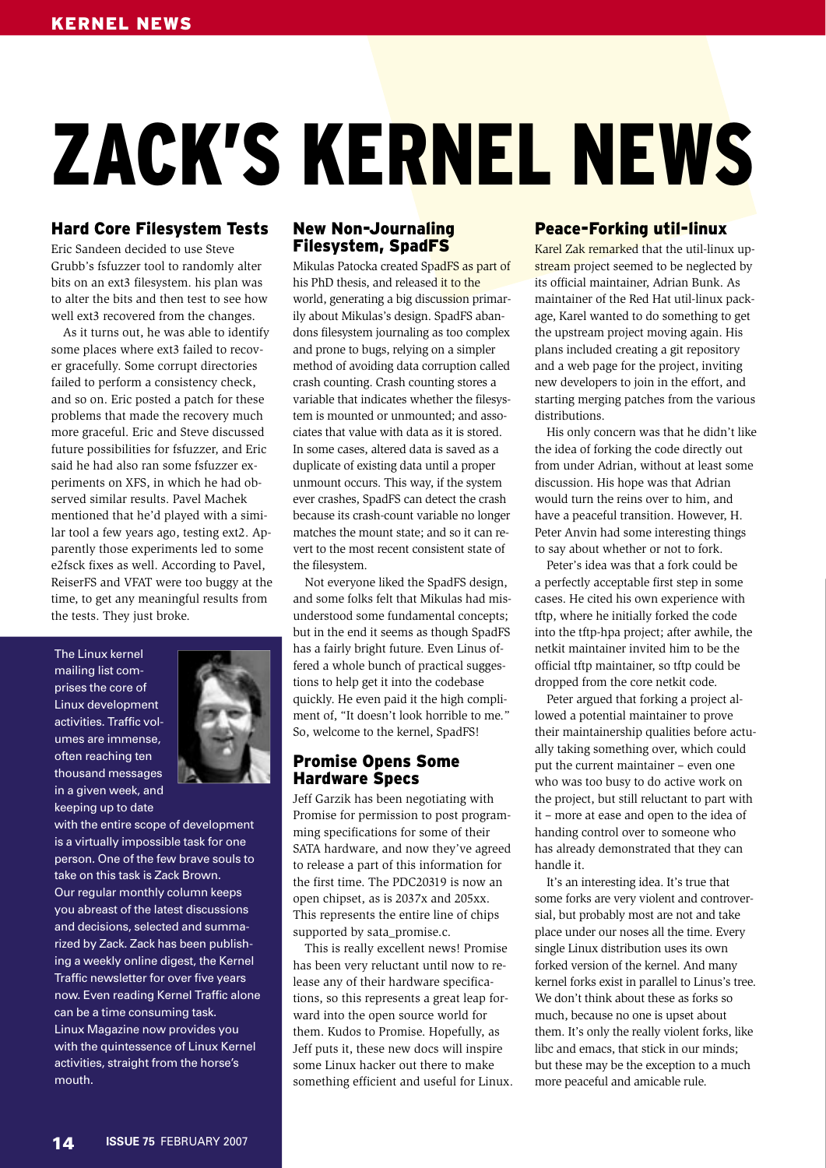# ZACK'S KERNEL NEWS

# Hard Core Filesystem Tests

Eric Sandeen decided to use Steve Grubb's fsfuzzer tool to randomly alter bits on an ext3 filesystem. his plan was to alter the bits and then test to see how well ext3 recovered from the changes.

As it turns out, he was able to identify some places where ext3 failed to recover gracefully. Some corrupt directories failed to perform a consistency check, and so on. Eric posted a patch for these problems that made the recovery much more graceful. Eric and Steve discussed future possibilities for fsfuzzer, and Eric said he had also ran some fsfuzzer experiments on XFS, in which he had observed similar results. Pavel Machek mentioned that he'd played with a similar tool a few years ago, testing ext2. Apparently those experiments led to some e2fsck fixes as well. According to Pavel, ReiserFS and VFAT were too buggy at the time, to get any meaningful results from the tests. They just broke.

The Linux kernel mailing list comprises the core of Linux development activities. Traffic volumes are immense, often reaching ten thousand messages in a given week, and keeping up to date



with the entire scope of development is a virtually impossible task for one person. One of the few brave souls to take on this task is Zack Brown. Our regular monthly column keeps you abreast of the latest discussions and decisions, selected and summarized by Zack. Zack has been publishing a weekly online digest, the Kernel Traffic newsletter for over five years now. Even reading Kernel Traffic alone can be a time consuming task. Linux Magazine now provides you with the quintessence of Linux Kernel activities, straight from the horse's mouth.

## New Non-Journaling Filesystem, SpadFS

Mikulas Patocka created SpadFS as part of his PhD thesis, and released it to the world, generating a big discussion primarily about Mikulas's design. SpadFS abandons filesystem journaling as too complex and prone to bugs, relying on a simpler method of avoiding data corruption called crash counting. Crash counting stores a variable that indicates whether the filesystem is mounted or unmounted; and associates that value with data as it is stored. In some cases, altered data is saved as a duplicate of existing data until a proper unmount occurs. This way, if the system ever crashes, SpadFS can detect the crash because its crash-count variable no longer matches the mount state; and so it can revert to the most recent consistent state of the filesystem.

Not everyone liked the SpadFS design, and some folks felt that Mikulas had misunderstood some fundamental concepts; but in the end it seems as though SpadFS has a fairly bright future. Even Linus offered a whole bunch of practical suggestions to help get it into the codebase quickly. He even paid it the high compliment of, "It doesn't look horrible to me." So, welcome to the kernel, SpadFS!

#### Promise Opens Some Hardware Specs

Jeff Garzik has been negotiating with Promise for permission to post programming specifications for some of their SATA hardware, and now they've agreed to release a part of this information for the first time. The PDC20319 is now an open chipset, as is 2037x and 205xx. This represents the entire line of chips supported by sata\_promise.c.

This is really excellent news! Promise has been very reluctant until now to release any of their hardware specifications, so this represents a great leap forward into the open source world for them. Kudos to Promise. Hopefully, as Jeff puts it, these new docs will inspire some Linux hacker out there to make something efficient and useful for Linux.

## Peace-Forking util-linux

Karel Zak remarked that the util-linux upstream project seemed to be neglected by its official maintainer, Adrian Bunk. As maintainer of the Red Hat util-linux package, Karel wanted to do something to get the upstream project moving again. His plans included creating a git repository and a web page for the project, inviting new developers to join in the effort, and starting merging patches from the various distributions.

His only concern was that he didn't like the idea of forking the code directly out from under Adrian, without at least some discussion. His hope was that Adrian would turn the reins over to him, and have a peaceful transition. However, H. Peter Anvin had some interesting things to say about whether or not to fork.

Peter's idea was that a fork could be a perfectly acceptable first step in some cases. He cited his own experience with tftp, where he initially forked the code into the tftp-hpa project; after awhile, the netkit maintainer invited him to be the official tftp maintainer, so tftp could be dropped from the core netkit code.

Peter argued that forking a project allowed a potential maintainer to prove their maintainership qualities before actually taking something over, which could put the current maintainer – even one who was too busy to do active work on the project, but still reluctant to part with it – more at ease and open to the idea of handing control over to someone who has already demonstrated that they can handle it.

It's an interesting idea. It's true that some forks are very violent and controversial, but probably most are not and take place under our noses all the time. Every single Linux distribution uses its own forked version of the kernel. And many kernel forks exist in parallel to Linus's tree. We don't think about these as forks so much, because no one is upset about them. It's only the really violent forks, like libc and emacs, that stick in our minds; but these may be the exception to a much more peaceful and amicable rule.